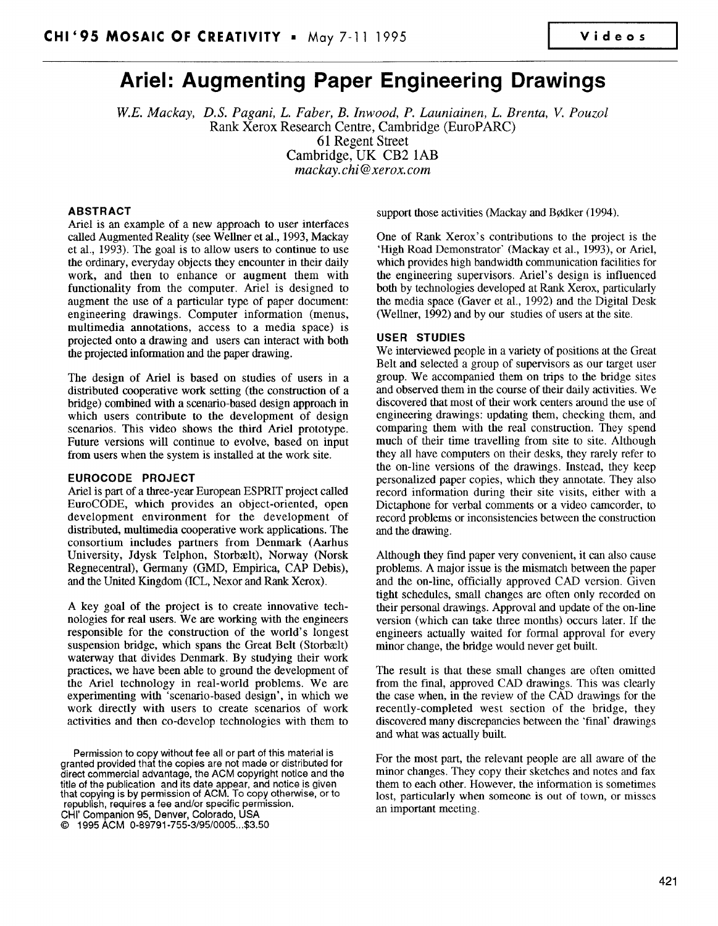~

# Ariel: Augmenting Paper Engineering Drawings

W.E. Mackay, D.S. Pagani, L. Faber, B. Inwood, P. Launiainen, L. Brenta, V. Pouzol Rank Xerox Research Centre, Cambridge (EuroPARC) 61 Regent Street Cambridge, UK CB2 lAB mackay. chi @xerox. com

# ABSTRACT

Ariel is an example of a new approach to user interfaces called Augmented Reality (see Wellner et al., 1993, Mackay et al., 1993). The goal is to allow users to continue to use the ordinary, everyday objects they encounter in their daily work, and then to enhance or augment them with functionality from the computer. Ariel is designed to augment the use of a particular type of paper document: engineering drawings. Computer information (menus, multimedia annotations, access to a media space) is projected onto a drawing and users can interact with both the projected information and the paper drawing.

The design of Ariel is based on studies of users in a distributed cooperative work setting (the construction of a bridge) combined with a scenario-based design approach in which users contribute to the development of design scenarios. This video shows the third Ariel prototype. Future versions will continue to evolve, based on input from users when the system is installed at the work site.

# EUROCODE PROJECT

Ariel is part of a three-year European ESPRIT project called EuroCODE, which provides an object-oriented, open development environment for the development of distributed, multimedia cooperative work applications. The consortium includes partners from Denmark (Aarhus University, Jdysk Telphon, Storbælt), Norway (Norsk Regnecentral), Germany (GMD, Empirica, CAP Debis), and the United Kingdom (ICL, Nexor and Rank Xerox).

A key goal of the project is to create innovative technologies for real users. We are working with the engineers responsible for the construction of the world's longest suspension bridge, which spans the Great Belt (Storbælt) waterway that divides Denmark. By studying their work practices, we have been able to ground the development of the Ariel technology in real-world problems. We are experimenting with 'scenario-based design', in which we work directly with users to create scenarios of work activities and then co-develop technologies with them to

Permission to copy without fee all or part of this material is granted provided that the copies are not made or distributed for direct commercial advantage, the ACM copyright notice and the title of the publication and its date appear, and notice js given that copying is by permission of ACM. To copy otherwise, or to republish, requires a fee and/or specific permission. CHI' Companion 95, Denver, Colorado, USA G 1995 ACM 0-89791 -755 -3/95/0005 ...\$3.50

support those activities (Mackay and Bødker (1994).

One of Rank Xerox's contributions to the project is the 'High Road Demonstrator' (Mackay et al., 1993), or Ariel, which provides high bandwidth communication facilities for the engineering supervisors. Ariel's design is influenced both by technologies developed at Rank Xerox, particularly the media space (Gaver et al., 1992) and the Digital Desk (Wellner, 1992) and by our studies of users at the site.

### USER STUDIES

We interviewed people in a variety of positions at the Great Belt and selected a group of supervisors as our target user group. We accompanied them on trips to the bridge sites and observed them in the course of their daily activities. We discovered that most of their work centers around the use of engineering drawings: updating them, checking them, and comparing them with the real construction. They spend much of their time traveling from site to site. Although they all have computers on their desks, they rarely refer to the on-line versions of the drawings, Instead, they keep personalized paper copies, which they annotate. They also record information during their site visits, either with a Dictaphone for verbal comments or a video camcorder, to record problems or inconsistencies between the construction and the drawing.

Although they find paper very convenient, it can also cause problems. A major issue is the mismatch between the paper and the on-line, officially approved CAD version. Given tight schedules, small changes are often only recorded on their personal drawings. Approval and update of the on-line version (which can take three months) occurs later. If the engineers actually waited for formal approval for every minor change, the bridge would never get built.

The result is that these small changes are often omitted from the final, approved CAD drawings. This was clearly the case when, in the review of the CAD drawings for the recently-completed west section of the bridge, they discovered many discrepancies between the 'final' drawings and what was actually built.

For the most part, the relevant people are all aware of the minor changes. They copy their sketches and notes and fax them to each other. However, the information is sometimes lost, particularly when someone is out of town, or misses an important meeting.